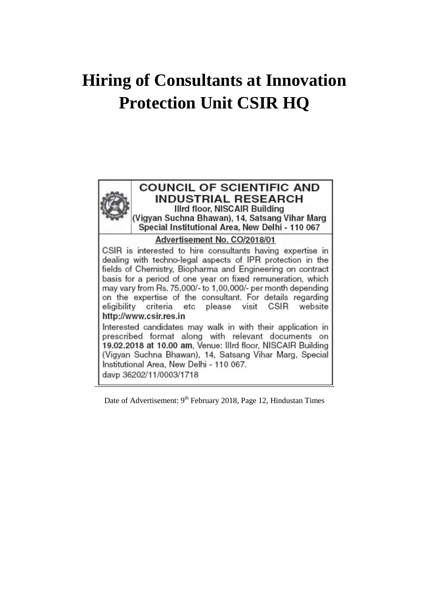# **Hiring of Consultants at Innovation Protection Unit CSIR HQ**



# **COUNCIL OF SCIENTIFIC AND INDUSTRIAL RESEARCH Illrd floor, NISCAIR Building** (Vigyan Suchna Bhawan), 14, Satsang Vihar Marg Special Institutional Area. New Delhi - 110 067

## Advertisement No. CO/2018/01

CSIR is interested to hire consultants having expertise in dealing with techno-legal aspects of IPR protection in the fields of Chemistry, Biopharma and Engineering on contract basis for a period of one year on fixed remuneration, which may vary from Rs. 75,000/- to 1,00,000/- per month depending on the expertise of the consultant. For details regarding eligibility criteria etc please visit **CSIR** website http://www.csir.res.in

Interested candidates may walk in with their application in prescribed format along with relevant documents on 19.02.2018 at 10.00 am, Venue: Illrd floor, NISCAIR Building (Vigyan Suchna Bhawan), 14, Satsang Vihar Marg, Special Institutional Area, New Delhi - 110 067. davp 36202/11/0003/1718

Date of Advertisement: 9<sup>th</sup> February 2018, Page 12, Hindustan Times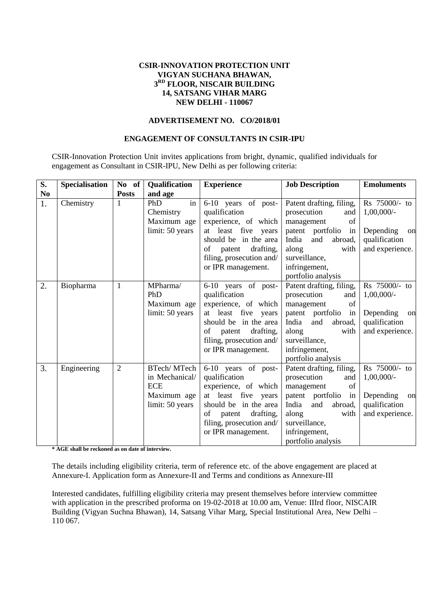## **CSIR-INNOVATION PROTECTION UNIT VIGYAN SUCHANA BHAWAN, 3 RD FLOOR, NISCAIR BUILDING 14, SATSANG VIHAR MARG NEW DELHI - 110067**

#### **ADVERTISEMENT NO. CO/2018/01**

## **ENGAGEMENT OF CONSULTANTS IN CSIR-IPU**

CSIR-Innovation Protection Unit invites applications from bright, dynamic, qualified individuals for engagement as Consultant in CSIR-IPU, New Delhi as per following criteria:

| S. | <b>Specialisation</b> | No of          | Qualification                                                                 | <b>Experience</b>                                                                                                                                                                           | <b>Job Description</b>                                                                                                                                                                           | <b>Emoluments</b>                                                                    |
|----|-----------------------|----------------|-------------------------------------------------------------------------------|---------------------------------------------------------------------------------------------------------------------------------------------------------------------------------------------|--------------------------------------------------------------------------------------------------------------------------------------------------------------------------------------------------|--------------------------------------------------------------------------------------|
| No |                       | <b>Posts</b>   | and age                                                                       |                                                                                                                                                                                             |                                                                                                                                                                                                  |                                                                                      |
| 1. | Chemistry             | 1              | PhD<br>in<br>Chemistry<br>Maximum age<br>limit: 50 years                      | 6-10 years of post-<br>qualification<br>experience, of which<br>at least five years<br>should be in the area<br>drafting,<br>οf<br>patent<br>filing, prosecution and/<br>or IPR management. | Patent drafting, filing,<br>prosecution<br>and<br>of<br>management<br>patent portfolio<br>in<br>India<br>and<br>abroad,<br>along<br>with<br>surveillance,<br>infringement,<br>portfolio analysis | Rs 75000/- to<br>$1,00,000/-$<br>Depending<br>on<br>qualification<br>and experience. |
| 2. | Biopharma             | 1              | MPharma/<br>PhD<br>Maximum age<br>limit: 50 years                             | 6-10 years of post-<br>qualification<br>experience, of which<br>at least five years<br>should be in the area<br>drafting,<br>of patent<br>filing, prosecution and/<br>or IPR management.    | Patent drafting, filing,<br>prosecution<br>and<br>of<br>management<br>patent portfolio<br>in<br>India<br>and<br>abroad,<br>along<br>with<br>surveillance,<br>infringement,<br>portfolio analysis | Rs 75000/- to<br>$1,00,000/-$<br>Depending<br>on<br>qualification<br>and experience. |
| 3. | Engineering           | $\overline{2}$ | BTech/MTech<br>in Mechanical/<br><b>ECE</b><br>Maximum age<br>limit: 50 years | 6-10 years of post-<br>qualification<br>experience, of which<br>at least five years<br>should be in the area<br>drafting,<br>of<br>patent<br>filing, prosecution and/<br>or IPR management. | Patent drafting, filing,<br>prosecution<br>and<br>management<br>of<br>patent portfolio<br>in<br>India<br>and<br>abroad,<br>along<br>with<br>surveillance,<br>infringement,<br>portfolio analysis | Rs 75000/- to<br>$1,00,000/-$<br>Depending<br>on<br>qualification<br>and experience. |

**\* AGE shall be reckoned as on date of interview.**

The details including eligibility criteria, term of reference etc. of the above engagement are placed at Annexure-I. Application form as Annexure-II and Terms and conditions as Annexure-III

Interested candidates, fulfilling eligibility criteria may present themselves before interview committee with application in the prescribed proforma on 19-02-2018 at 10.00 am, Venue: IIIrd floor, NISCAIR Building (Vigyan Suchna Bhawan), 14, Satsang Vihar Marg, Special Institutional Area, New Delhi – 110 067.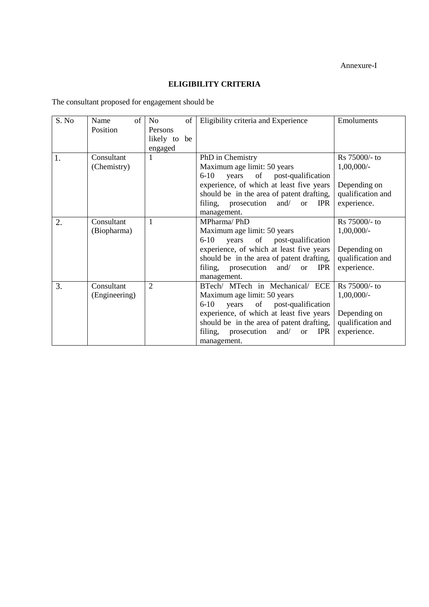# **ELIGIBILITY CRITERIA**

The consultant proposed for engagement should be

| S. No | of<br>Name    | No<br>of       | Eligibility criteria and Experience                        | Emoluments        |
|-------|---------------|----------------|------------------------------------------------------------|-------------------|
|       | Position      | Persons        |                                                            |                   |
|       |               | likely to be   |                                                            |                   |
|       |               | engaged        |                                                            |                   |
| 1.    | Consultant    | 1              | PhD in Chemistry                                           | Rs 75000/- to     |
|       | (Chemistry)   |                | Maximum age limit: 50 years                                | $1,00,000/$ -     |
|       |               |                | $6 - 10$<br>years<br>of post-qualification                 |                   |
|       |               |                | experience, of which at least five years                   | Depending on      |
|       |               |                | should be in the area of patent drafting,                  | qualification and |
|       |               |                | prosecution and/<br><b>IPR</b><br>filing,<br><sub>or</sub> | experience.       |
|       |               |                | management.                                                |                   |
| 2.    | Consultant    | 1              | MPharma/PhD                                                | Rs 75000/- to     |
|       | (Biopharma)   |                | Maximum age limit: 50 years                                | $1,00,000/$ -     |
|       |               |                | of post-qualification<br>$6 - 10$<br>years                 |                   |
|       |               |                | experience, of which at least five years                   | Depending on      |
|       |               |                | should be in the area of patent drafting,                  | qualification and |
|       |               |                | prosecution and/<br>filing,<br><b>IPR</b><br><sub>or</sub> | experience.       |
|       |               |                | management.                                                |                   |
| 3.    | Consultant    | $\overline{2}$ | BTech/ MTech in Mechanical/ ECE                            | Rs 75000/- to     |
|       | (Engineering) |                | Maximum age limit: 50 years                                | $1,00,000/$ -     |
|       |               |                | $6 - 10$<br>years<br>of post-qualification                 |                   |
|       |               |                | experience, of which at least five years                   | Depending on      |
|       |               |                | should be in the area of patent drafting,                  | qualification and |
|       |               |                | <b>IPR</b><br>filing,<br>prosecution<br>and/<br><b>or</b>  | experience.       |
|       |               |                | management.                                                |                   |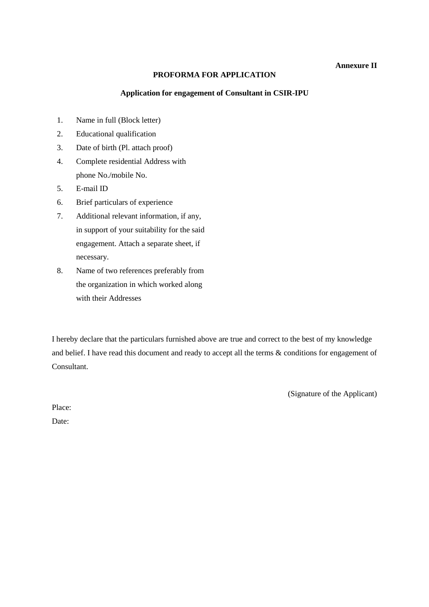## **Annexure II**

## **PROFORMA FOR APPLICATION**

#### **Application for engagement of Consultant in CSIR-IPU**

- 1. Name in full (Block letter)
- 2. Educational qualification
- 3. Date of birth (Pl. attach proof)
- 4. Complete residential Address with phone No./mobile No.
- 5. E-mail ID
- 6. Brief particulars of experience
- 7. Additional relevant information, if any, in support of your suitability for the said engagement. Attach a separate sheet, if necessary.
- 8. Name of two references preferably from the organization in which worked along with their Addresses

I hereby declare that the particulars furnished above are true and correct to the best of my knowledge and belief. I have read this document and ready to accept all the terms & conditions for engagement of Consultant.

(Signature of the Applicant)

Place: Date: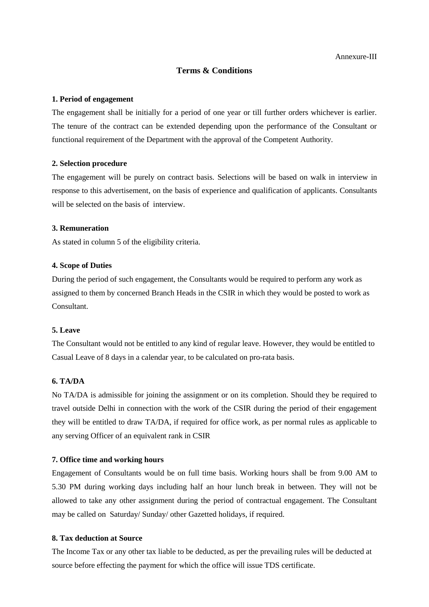## **Terms & Conditions**

#### **1. Period of engagement**

The engagement shall be initially for a period of one year or till further orders whichever is earlier. The tenure of the contract can be extended depending upon the performance of the Consultant or functional requirement of the Department with the approval of the Competent Authority.

#### **2. Selection procedure**

The engagement will be purely on contract basis. Selections will be based on walk in interview in response to this advertisement, on the basis of experience and qualification of applicants. Consultants will be selected on the basis of interview.

## **3. Remuneration**

As stated in column 5 of the eligibility criteria.

## **4. Scope of Duties**

During the period of such engagement, the Consultants would be required to perform any work as assigned to them by concerned Branch Heads in the CSIR in which they would be posted to work as Consultant.

## **5. Leave**

The Consultant would not be entitled to any kind of regular leave. However, they would be entitled to Casual Leave of 8 days in a calendar year, to be calculated on pro-rata basis.

## **6. TA/DA**

No TA/DA is admissible for joining the assignment or on its completion. Should they be required to travel outside Delhi in connection with the work of the CSIR during the period of their engagement they will be entitled to draw TA/DA, if required for office work, as per normal rules as applicable to any serving Officer of an equivalent rank in CSIR

#### **7. Office time and working hours**

Engagement of Consultants would be on full time basis. Working hours shall be from 9.00 AM to 5.30 PM during working days including half an hour lunch break in between. They will not be allowed to take any other assignment during the period of contractual engagement. The Consultant may be called on Saturday/ Sunday/ other Gazetted holidays, if required.

## **8. Tax deduction at Source**

The Income Tax or any other tax liable to be deducted, as per the prevailing rules will be deducted at source before effecting the payment for which the office will issue TDS certificate.